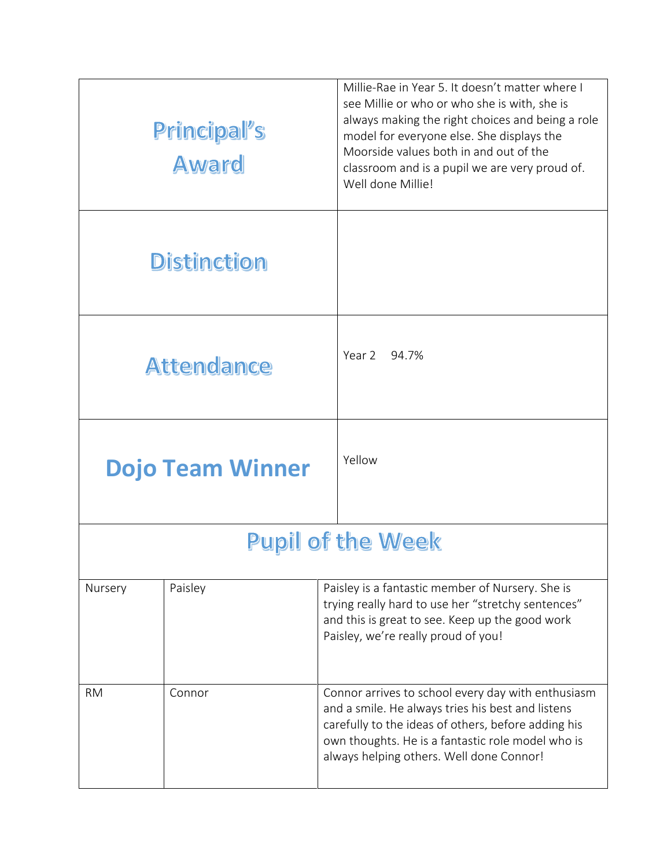|                          | Principal's<br><b>Award</b> | Millie-Rae in Year 5. It doesn't matter where I<br>see Millie or who or who she is with, she is<br>always making the right choices and being a role<br>model for everyone else. She displays the<br>Moorside values both in and out of the<br>classroom and is a pupil we are very proud of.<br>Well done Millie! |  |  |
|--------------------------|-----------------------------|-------------------------------------------------------------------------------------------------------------------------------------------------------------------------------------------------------------------------------------------------------------------------------------------------------------------|--|--|
|                          | <b>Distinction</b>          |                                                                                                                                                                                                                                                                                                                   |  |  |
|                          | <b>Attendance</b>           | Year 2 94.7%                                                                                                                                                                                                                                                                                                      |  |  |
|                          | <b>Dojo Team Winner</b>     | Yellow                                                                                                                                                                                                                                                                                                            |  |  |
| <b>Pupil of the Week</b> |                             |                                                                                                                                                                                                                                                                                                                   |  |  |
| Nursery                  | Paisley                     | Paisley is a fantastic member of Nursery. She is<br>trying really hard to use her "stretchy sentences"<br>and this is great to see. Keep up the good work<br>Paisley, we're really proud of you!                                                                                                                  |  |  |
| <b>RM</b>                | Connor                      | Connor arrives to school every day with enthusiasm<br>and a smile. He always tries his best and listens<br>carefully to the ideas of others, before adding his<br>own thoughts. He is a fantastic role model who is<br>always helping others. Well done Connor!                                                   |  |  |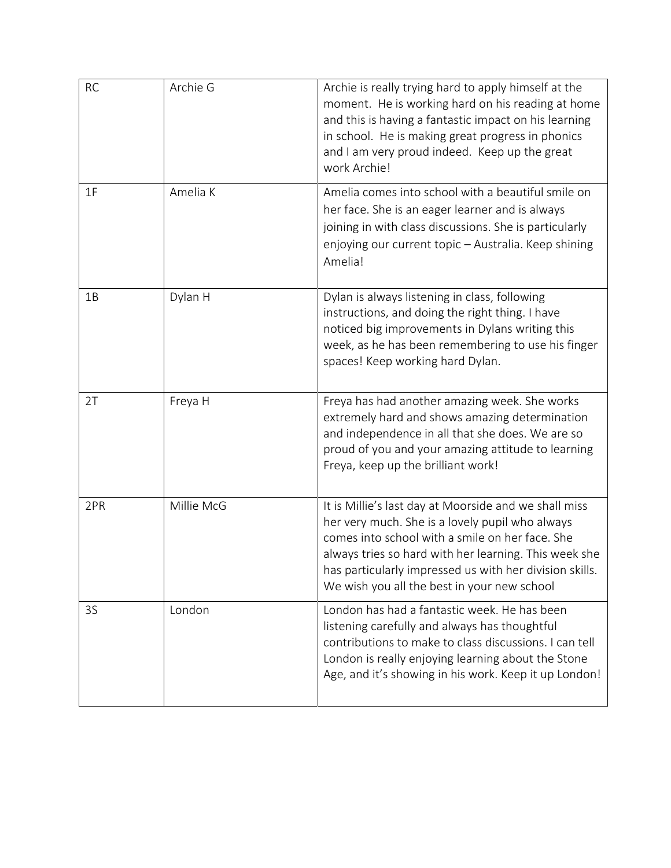| <b>RC</b> | Archie G   | Archie is really trying hard to apply himself at the<br>moment. He is working hard on his reading at home<br>and this is having a fantastic impact on his learning<br>in school. He is making great progress in phonics<br>and I am very proud indeed. Keep up the great<br>work Archie!                                       |
|-----------|------------|--------------------------------------------------------------------------------------------------------------------------------------------------------------------------------------------------------------------------------------------------------------------------------------------------------------------------------|
| 1F        | Amelia K   | Amelia comes into school with a beautiful smile on<br>her face. She is an eager learner and is always<br>joining in with class discussions. She is particularly<br>enjoying our current topic - Australia. Keep shining<br>Amelia!                                                                                             |
| 1B        | Dylan H    | Dylan is always listening in class, following<br>instructions, and doing the right thing. I have<br>noticed big improvements in Dylans writing this<br>week, as he has been remembering to use his finger<br>spaces! Keep working hard Dylan.                                                                                  |
| 2T        | Freya H    | Freya has had another amazing week. She works<br>extremely hard and shows amazing determination<br>and independence in all that she does. We are so<br>proud of you and your amazing attitude to learning<br>Freya, keep up the brilliant work!                                                                                |
| 2PR       | Millie McG | It is Millie's last day at Moorside and we shall miss<br>her very much. She is a lovely pupil who always<br>comes into school with a smile on her face. She<br>always tries so hard with her learning. This week she<br>has particularly impressed us with her division skills.<br>We wish you all the best in your new school |
| 3S        | London     | London has had a fantastic week. He has been<br>listening carefully and always has thoughtful<br>contributions to make to class discussions. I can tell<br>London is really enjoying learning about the Stone<br>Age, and it's showing in his work. Keep it up London!                                                         |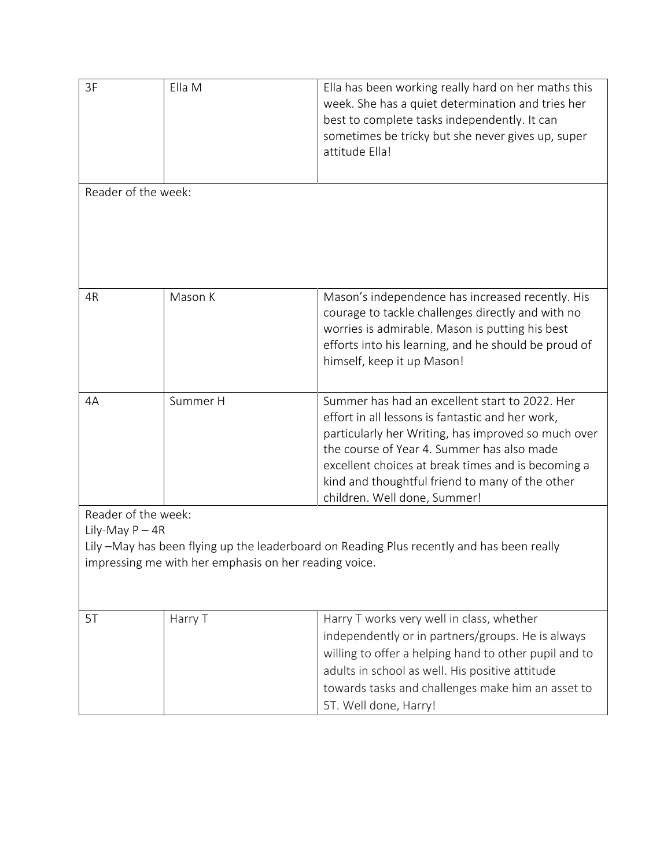| 3F                                                                                                                                                 | Ella M   | Ella has been working really hard on her maths this<br>week. She has a quiet determination and tries her<br>best to complete tasks independently. It can<br>sometimes be tricky but she never gives up, super<br>attitude Ella!                                                                                                                  |  |  |
|----------------------------------------------------------------------------------------------------------------------------------------------------|----------|--------------------------------------------------------------------------------------------------------------------------------------------------------------------------------------------------------------------------------------------------------------------------------------------------------------------------------------------------|--|--|
| Reader of the week:                                                                                                                                |          |                                                                                                                                                                                                                                                                                                                                                  |  |  |
| 4R                                                                                                                                                 | Mason K  | Mason's independence has increased recently. His<br>courage to tackle challenges directly and with no<br>worries is admirable. Mason is putting his best<br>efforts into his learning, and he should be proud of<br>himself, keep it up Mason!                                                                                                   |  |  |
| 4A                                                                                                                                                 | Summer H | Summer has had an excellent start to 2022. Her<br>effort in all lessons is fantastic and her work,<br>particularly her Writing, has improved so much over<br>the course of Year 4. Summer has also made<br>excellent choices at break times and is becoming a<br>kind and thoughtful friend to many of the other<br>children. Well done, Summer! |  |  |
| Reader of the week:                                                                                                                                |          |                                                                                                                                                                                                                                                                                                                                                  |  |  |
| Lily-May $P - 4R$                                                                                                                                  |          |                                                                                                                                                                                                                                                                                                                                                  |  |  |
| Lily -May has been flying up the leaderboard on Reading Plus recently and has been really<br>impressing me with her emphasis on her reading voice. |          |                                                                                                                                                                                                                                                                                                                                                  |  |  |
|                                                                                                                                                    |          |                                                                                                                                                                                                                                                                                                                                                  |  |  |
| 5T                                                                                                                                                 | Harry T  | Harry T works very well in class, whether<br>independently or in partners/groups. He is always<br>willing to offer a helping hand to other pupil and to<br>adults in school as well. His positive attitude<br>towards tasks and challenges make him an asset to<br>5T. Well done, Harry!                                                         |  |  |